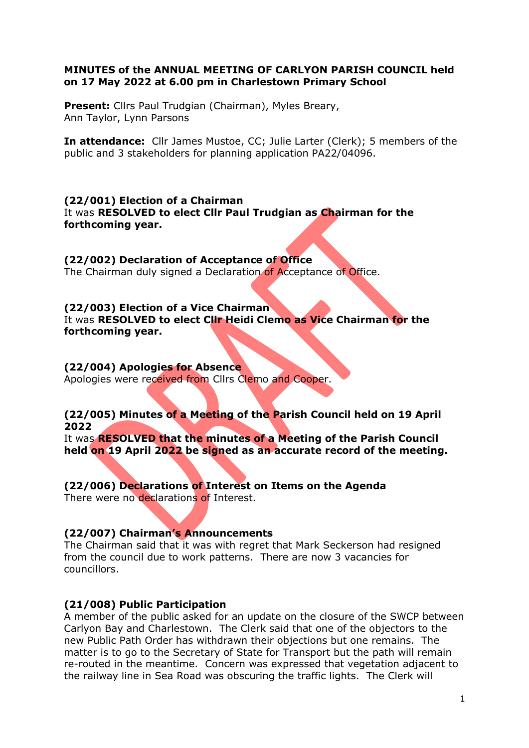#### MINUTES of the ANNUAL MEETING OF CARLYON PARISH COUNCIL held on 17 May 2022 at 6.00 pm in Charlestown Primary School

Present: Cllrs Paul Trudgian (Chairman), Myles Breary, Ann Taylor, Lynn Parsons

In attendance: Cllr James Mustoe, CC; Julie Larter (Clerk); 5 members of the public and 3 stakeholders for planning application PA22/04096.

(22/001) Election of a Chairman It was RESOLVED to elect Cllr Paul Trudgian as Chairman for the forthcoming year.

(22/002) Declaration of Acceptance of Office The Chairman duly signed a Declaration of Acceptance of Office.

### (22/003) Election of a Vice Chairman It was RESOLVED to elect Cllr Heidi Clemo as Vice Chairman for the forthcoming year.

(22/004) Apologies for Absence Apologies were received from Cllrs Clemo and Cooper.

### (22/005) Minutes of a Meeting of the Parish Council held on 19 April 2022

It was **RESOLVED that the minutes of a Meeting of the Parish Council** held on 19 April 2022 be signed as an accurate record of the meeting.

(22/006) Declarations of Interest on Items on the Agenda There were no declarations of Interest.

### (22/007) Chairman's Announcements

The Chairman said that it was with regret that Mark Seckerson had resigned from the council due to work patterns. There are now 3 vacancies for councillors.

### (21/008) Public Participation

A member of the public asked for an update on the closure of the SWCP between Carlyon Bay and Charlestown. The Clerk said that one of the objectors to the new Public Path Order has withdrawn their objections but one remains. The matter is to go to the Secretary of State for Transport but the path will remain re-routed in the meantime. Concern was expressed that vegetation adjacent to the railway line in Sea Road was obscuring the traffic lights. The Clerk will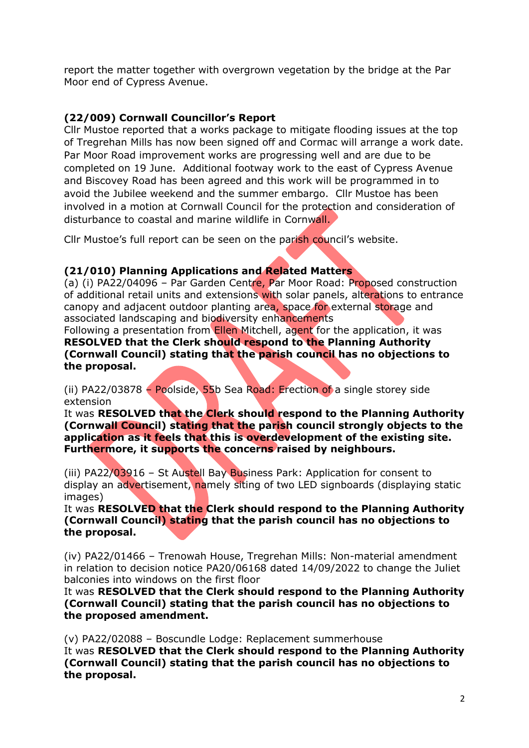report the matter together with overgrown vegetation by the bridge at the Par Moor end of Cypress Avenue.

# (22/009) Cornwall Councillor's Report

Cllr Mustoe reported that a works package to mitigate flooding issues at the top of Tregrehan Mills has now been signed off and Cormac will arrange a work date. Par Moor Road improvement works are progressing well and are due to be completed on 19 June. Additional footway work to the east of Cypress Avenue and Biscovey Road has been agreed and this work will be programmed in to avoid the Jubilee weekend and the summer embargo. Cllr Mustoe has been involved in a motion at Cornwall Council for the protection and consideration of disturbance to coastal and marine wildlife in Cornwall.

Cllr Mustoe's full report can be seen on the parish council's website.

## (21/010) Planning Applications and Related Matters

(a) (i) PA22/04096 – Par Garden Centre, Par Moor Road: Proposed construction of additional retail units and extensions with solar panels, alterations to entrance canopy and adjacent outdoor planting area, space for external storage and associated landscaping and biodiversity enhancements

Following a presentation from **Ellen** Mitchell, agent for the application, it was RESOLVED that the Clerk should respond to the Planning Authority (Cornwall Council) stating that the parish council has no objections to the proposal.

(ii) PA22/03878 – Poolside, 55b Sea Road: Erection of a single storey side extension

It was RESOLVED that the Clerk should respond to the Planning Authority (Cornwall Council) stating that the parish council strongly objects to the application as it feels that this is overdevelopment of the existing site. Furthermore, it supports the concerns raised by neighbours.

(iii) PA22/03916 – St Austell Bay Business Park: Application for consent to display an advertisement, namely siting of two LED signboards (displaying static images)

It was RESOLVED that the Clerk should respond to the Planning Authority (Cornwall Council) stating that the parish council has no objections to the proposal.

(iv) PA22/01466 – Trenowah House, Tregrehan Mills: Non-material amendment in relation to decision notice PA20/06168 dated 14/09/2022 to change the Juliet balconies into windows on the first floor

It was RESOLVED that the Clerk should respond to the Planning Authority (Cornwall Council) stating that the parish council has no objections to the proposed amendment.

(v) PA22/02088 – Boscundle Lodge: Replacement summerhouse It was RESOLVED that the Clerk should respond to the Planning Authority (Cornwall Council) stating that the parish council has no objections to the proposal.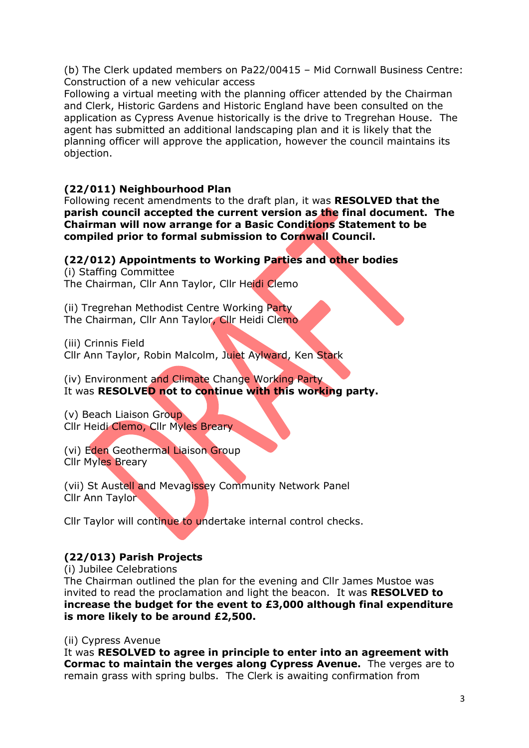(b) The Clerk updated members on Pa22/00415 – Mid Cornwall Business Centre: Construction of a new vehicular access

Following a virtual meeting with the planning officer attended by the Chairman and Clerk, Historic Gardens and Historic England have been consulted on the application as Cypress Avenue historically is the drive to Tregrehan House. The agent has submitted an additional landscaping plan and it is likely that the planning officer will approve the application, however the council maintains its objection.

## (22/011) Neighbourhood Plan

Following recent amendments to the draft plan, it was RESOLVED that the parish council accepted the current version as the final document. The Chairman will now arrange for a Basic Conditions Statement to be compiled prior to formal submission to Cornwall Council.

### (22/012) Appointments to Working Parties and other bodies

(i) Staffing Committee The Chairman, Cllr Ann Taylor, Cllr Heidi Clemo

(ii) Tregrehan Methodist Centre Working Party The Chairman, Cllr Ann Taylor, Cllr Heidi Clemo

(iii) Crinnis Field Cllr Ann Taylor, Robin Malcolm, Juiet Aylward, Ken Stark

(iv) Environment and Climate Change Working Party It was RESOLVED not to continue with this working party.

(v) Beach Liaison Group Cllr Heidi Clemo, Cllr Myles Breary

(vi) Eden Geothermal Liaison Group Cllr Myles Breary

(vii) St Austell and Mevagissey Community Network Panel Cllr Ann Taylor

Cllr Taylor will continue to undertake internal control checks.

## (22/013) Parish Projects

(i) Jubilee Celebrations

The Chairman outlined the plan for the evening and Cllr James Mustoe was invited to read the proclamation and light the beacon. It was RESOLVED to increase the budget for the event to £3,000 although final expenditure is more likely to be around £2,500.

(ii) Cypress Avenue

It was RESOLVED to agree in principle to enter into an agreement with Cormac to maintain the verges along Cypress Avenue. The verges are to remain grass with spring bulbs. The Clerk is awaiting confirmation from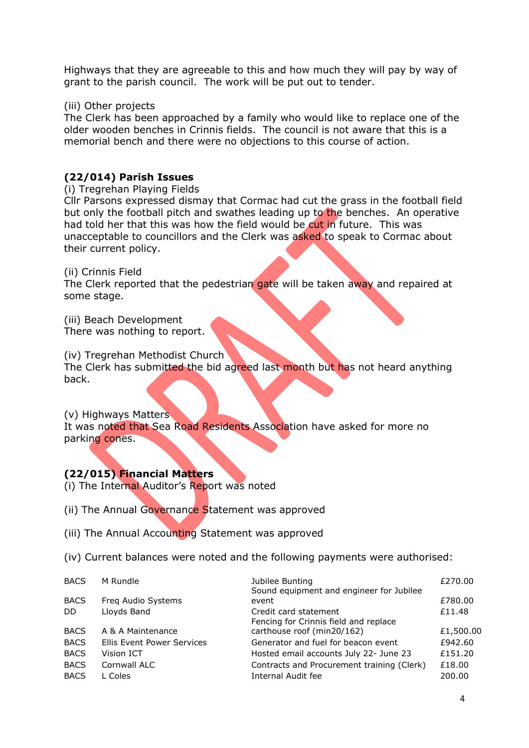Highways that they are agreeable to this and how much they will pay by way of grant to the parish council. The work will be put out to tender.

#### (iii) Other projects

The Clerk has been approached by a family who would like to replace one of the older wooden benches in Crinnis fields. The council is not aware that this is a memorial bench and there were no objections to this course of action.

## (22/014) Parish Issues

#### (i) Tregrehan Playing Fields

Cllr Parsons expressed dismay that Cormac had cut the grass in the football field but only the football pitch and swathes leading up to the benches. An operative had told her that this was how the field would be cut in future. This was unacceptable to councillors and the Clerk was asked to speak to Cormac about their current policy.

(ii) Crinnis Field

The Clerk reported that the pedestrian gate will be taken away and repaired at some stage.

(iii) Beach Development

There was nothing to report.

(iv) Tregrehan Methodist Church

The Clerk has submitted the bid agreed last month but has not heard anything back.

(v) Highways Matters

It was noted that Sea Road Residents Association have asked for more no parking cones.

### (22/015) Financial Matters

- (i) The Internal Auditor's Report was noted
- (ii) The Annual Governance Statement was approved
- (iii) The Annual Accounting Statement was approved
- (iv) Current balances were noted and the following payments were authorised:

| <b>BACS</b> | M Rundle                   | Jubilee Bunting<br>Sound equipment and engineer for Jubilee    | £270.00   |
|-------------|----------------------------|----------------------------------------------------------------|-----------|
| <b>BACS</b> | Freq Audio Systems         | event                                                          | £780.00   |
| DD.         | Lloyds Band                | Credit card statement<br>Fencing for Crinnis field and replace | £11.48    |
| <b>BACS</b> | A & A Maintenance          | carthouse roof (min20/162)                                     | £1,500.00 |
| <b>BACS</b> | Ellis Event Power Services | Generator and fuel for beacon event                            | £942.60   |
| <b>BACS</b> | Vision ICT                 | Hosted email accounts July 22- June 23                         | £151.20   |
| <b>BACS</b> | Cornwall ALC               | Contracts and Procurement training (Clerk)                     | £18.00    |
| <b>BACS</b> | L Coles                    | Internal Audit fee                                             | 200.00    |